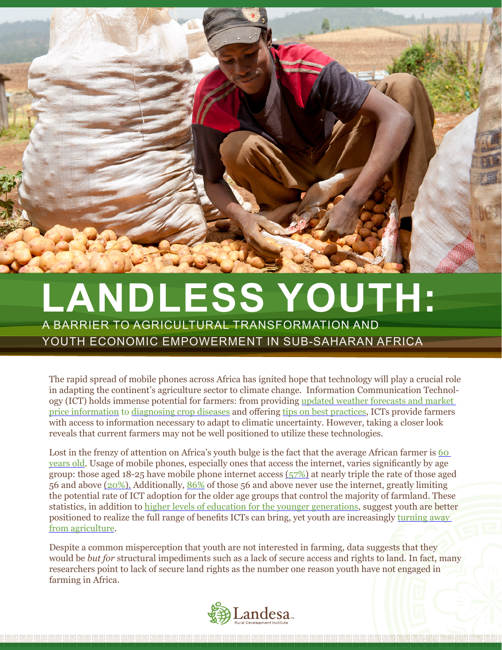

## **LANDLESS YOUTH:**

A BARRIER TO AGRICULTURAL TRANSFORMATION AND YOUTH ECONOMIC EMPOWERMENT IN SUB-SAHARAN AFRICA

The rapid spread of mobile phones across Africa has ignited hope that technology will play a crucial role in adapting the continent's agriculture sector to climate change. Information Communication Technology (ICT) holds immense potential for farmers: from providing updated weather forecasts and market price information to diagnosing crop diseases and offering tips on best practices, ICTs provide farmers with access to information necessary to adapt to climatic uncertainty. However, taking a closer look reveals that current farmers may not be well positioned to utilize these technologies.

Lost in the frenzy of attention on Africa's youth bulge is the fact that the average African farmer is 60 years old. Usage of mobile phones, especially ones that access the internet, varies significantly by age group: those aged 18-25 have mobile phone internet access (57%) at nearly triple the rate of those aged 56 and above (20%). Additionally, 86% of those 56 and above never use the internet, greatly limiting the potential rate of ICT adoption for the older age groups that control the majority of farmland. These statistics, in addition to higher levels of education for the younger generations, suggest youth are better positioned to realize the full range of benefits ICTs can bring, yet youth are increasingly turning away from agriculture.

Despite a common misperception that youth are not interested in farming, data suggests that they would be *but for* structural impediments such as a lack of secure access and rights to land. In fact, many researchers point to lack of secure land rights as the number one reason youth have not engaged in farming in Africa.

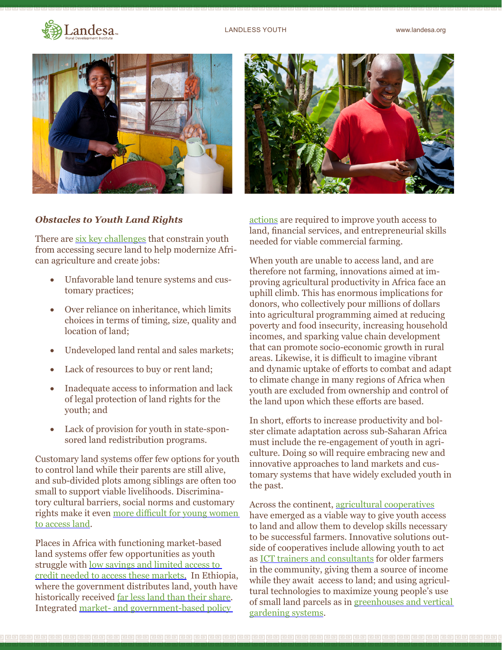



## *Obstacles to Youth Land Rights*

There are six key challenges that constrain youth from accessing secure land to help modernize African agriculture and create jobs:

- Unfavorable land tenure systems and customary practices;
- Over reliance on inheritance, which limits choices in terms of timing, size, quality and location of land;
- Undeveloped land rental and sales markets;
- Lack of resources to buy or rent land;
- • Inadequate access to information and lack of legal protection of land rights for the youth; and
- Lack of provision for youth in state-sponsored land redistribution programs.

Customary land systems offer few options for youth to control land while their parents are still alive, and sub-divided plots among siblings are often too small to support viable livelihoods. Discriminatory cultural barriers, social norms and customary rights make it even more difficult for young women to access land.

Places in Africa with functioning market-based land systems offer few opportunities as youth struggle with low savings and limited access to credit needed to access these markets. In Ethiopia, where the government distributes land, youth have historically received far less land than their share. Integrated market- and government-based policy



actions are required to improve youth access to land, financial services, and entrepreneurial skills needed for viable commercial farming.

When youth are unable to access land, and are therefore not farming, innovations aimed at improving agricultural productivity in Africa face an uphill climb. This has enormous implications for donors, who collectively pour millions of dollars into agricultural programming aimed at reducing poverty and food insecurity, increasing household incomes, and sparking value chain development that can promote socio-economic growth in rural areas. Likewise, it is difficult to imagine vibrant and dynamic uptake of efforts to combat and adapt to climate change in many regions of Africa when youth are excluded from ownership and control of the land upon which these efforts are based.

In short, efforts to increase productivity and bolster climate adaptation across sub-Saharan Africa must include the re-engagement of youth in agriculture. Doing so will require embracing new and innovative approaches to land markets and customary systems that have widely excluded youth in the past.

Across the continent, agricultural cooperatives have emerged as a viable way to give youth access to land and allow them to develop skills necessary to be successful farmers. Innovative solutions outside of cooperatives include allowing youth to act as ICT trainers and consultants for older farmers in the community, giving them a source of income while they await access to land; and using agricultural technologies to maximize young people's use of small land parcels as in greenhouses and vertical gardening systems.